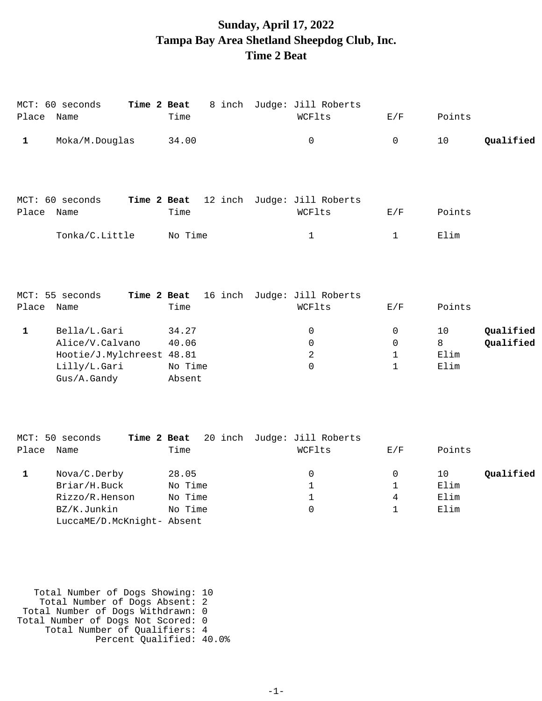## **Sunday, April 17, 2022 Tampa Bay Area Shetland Sheepdog Club, Inc. Time 2 Beat**

|              | MCT: 60 seconds<br>Place Name                                                               | Time 2 Beat<br>Time                    | 8 inch Judge: Jill Roberts<br>WCFlts   | E/F                                   | Points                                            |
|--------------|---------------------------------------------------------------------------------------------|----------------------------------------|----------------------------------------|---------------------------------------|---------------------------------------------------|
| $\mathbf{1}$ | Moka/M.Douglas                                                                              | 34.00                                  | $\mathbf 0$                            | $\mathbf 0$                           | Qualified<br>10                                   |
|              | MCT: 60 seconds                                                                             | Time 2 Beat                            | 12 inch Judge: Jill Roberts            |                                       |                                                   |
| Place        | Name                                                                                        | Time                                   | WCFlts                                 | E/F                                   | Points                                            |
|              | Tonka/C.Little                                                                              | No Time                                | $\mathbf{1}$                           | $\mathbf 1$                           | Elim                                              |
|              | MCT: 55 seconds                                                                             | Time 2 Beat                            | 16 inch Judge: Jill Roberts            |                                       |                                                   |
|              | Place Name                                                                                  | Time                                   | WCFlts                                 | E/F                                   | Points                                            |
| $\mathbf 1$  | Bella/L.Gari<br>Alice/V.Calvano<br>Hootie/J.Mylchreest 48.81<br>Lilly/L.Gari<br>Gus/A.Gandy | 34.27<br>40.06<br>No Time<br>Absent    | 0<br>0<br>2<br>$\mathbf 0$             | 0<br>0<br>$\mathbf 1$<br>$\mathbf 1$  | 10<br>Qualified<br>8<br>Qualified<br>Elim<br>Elim |
|              | MCT: 50 seconds                                                                             | Time 2 Beat                            | 20 inch Judge: Jill Roberts            |                                       |                                                   |
|              | Place Name                                                                                  | Time                                   | WCFlts                                 | E/F                                   | Points                                            |
| $\mathbf{1}$ | Nova/C.Derby<br>Briar/H.Buck<br>Rizzo/R.Henson<br>BZ/K.Junkin                               | 28.05<br>No Time<br>No Time<br>No Time | 0<br>$\mathbf{1}$<br>$\mathbf{1}$<br>0 | 0<br>$\mathbf{1}$<br>4<br>$\mathbf 1$ | 10<br>Qualified<br>Elim<br>Elim<br>Elim           |
|              | LuccaME/D.McKnight- Absent                                                                  |                                        |                                        |                                       |                                                   |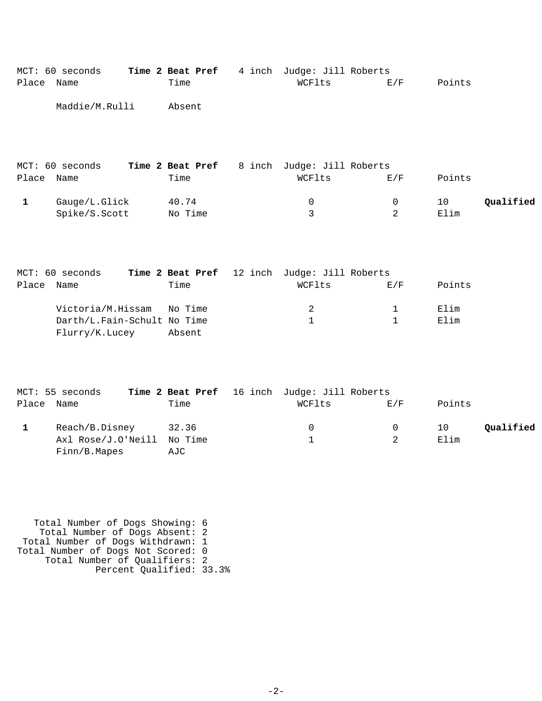| Place        | MCT: 60 seconds<br>Name                                            | Time 2 Beat Pref<br>Time | 4 inch Judge: Jill Roberts<br>WCFlts                   | E/F                         | Points       |           |
|--------------|--------------------------------------------------------------------|--------------------------|--------------------------------------------------------|-----------------------------|--------------|-----------|
|              | Maddie/M.Rulli                                                     | Absent                   |                                                        |                             |              |           |
| Place Name   | MCT: 60 seconds                                                    | Time 2 Beat Pref<br>Time | 8 inch Judge: Jill Roberts<br>WCFlts                   | E/F                         | Points       |           |
| $\mathbf{1}$ | Gauge/L.Glick<br>Spike/S.Scott                                     | 40.74<br>No Time         | 0<br>3                                                 | 0<br>2                      | 10<br>Elim   | Qualified |
| Place        | MCT: 60 seconds<br>Name                                            | Time                     | Time 2 Beat Pref 12 inch Judge: Jill Roberts<br>WCFlts | E/F                         | Points       |           |
|              | Victoria/M.Hissam<br>Darth/L.Fain-Schult No Time<br>Flurry/K.Lucey | No Time<br>Absent        | $\overline{a}$<br>$\mathbf{1}$                         | $\mathbf 1$<br>$\mathbf{1}$ | Elim<br>Elim |           |
| Place Name   | MCT: 55 seconds                                                    | Time 2 Beat Pref<br>Time | 16 inch Judge: Jill Roberts<br>WCFlts                  | E/F                         | Points       |           |
| $\mathbf{1}$ | Reach/B.Disney<br>Axl Rose/J.O'Neill<br>Finn/B.Mapes               | 32.36<br>No Time<br>AJC  | 0<br>1                                                 | 0<br>2                      | 10<br>Elim   | Qualified |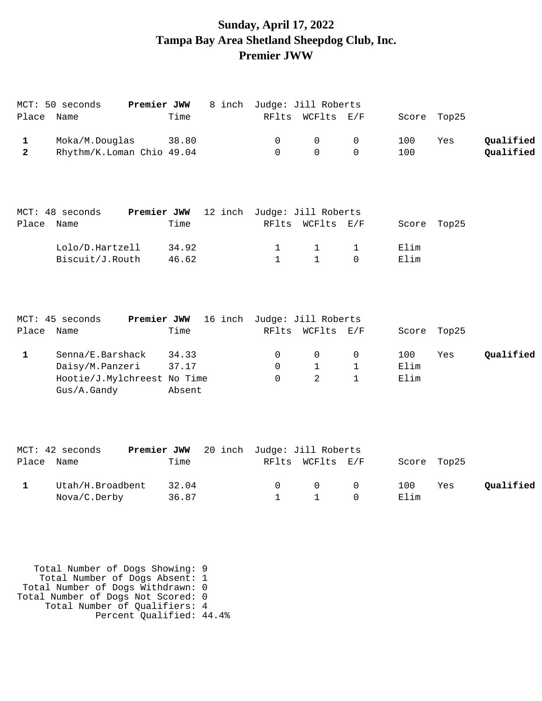# **Sunday, April 17, 2022 Tampa Bay Area Shetland Sheepdog Club, Inc. Premier JWW**

|                         | Premier JWW<br>MCT: 50 seconds |             |         |                             | 8 inch Judge: Jill Roberts |              |             |             |           |  |  |
|-------------------------|--------------------------------|-------------|---------|-----------------------------|----------------------------|--------------|-------------|-------------|-----------|--|--|
| Place                   | Name                           | Time        |         |                             | RFlts WCFlts E/F           |              | Score Top25 |             |           |  |  |
| $\mathbf 1$             | Moka/M.Douglas                 | 38.80       |         | 0                           | 0                          | 0            | 100         | Yes         | Qualified |  |  |
| $\overline{\mathbf{2}}$ | Rhythm/K.Loman Chio 49.04      |             |         | $\mathbf 0$                 | $\Omega$                   | $\Omega$     | 100         |             | Qualified |  |  |
|                         | MCT: 48 seconds                | Premier JWW |         | 12 inch Judge: Jill Roberts |                            |              |             |             |           |  |  |
| Place                   | Name                           | Time        |         |                             | RFlts WCFlts E/F           |              | Score Top25 |             |           |  |  |
|                         | Lolo/D.Hartzell                | 34.92       |         | $\mathbf{1}$                | $\mathbf 1$                | $\mathbf{1}$ | Elim        |             |           |  |  |
|                         | Biscuit/J.Routh                | 46.62       |         | $\mathbf{1}$                | $\mathbf{1}$               | $\Omega$     | Elim        |             |           |  |  |
|                         | MCT: 45 seconds<br>Premier JWW |             |         | 16 inch Judge: Jill Roberts |                            |              |             |             |           |  |  |
| Place                   | Name                           | Time        |         |                             | RFlts WCFlts E/F           |              |             | Score Top25 |           |  |  |
| $\mathbf{1}$            | Senna/E.Barshack               | 34.33       |         | 0                           | 0                          | 0            | 100         | Yes         | Qualified |  |  |
|                         | Daisy/M.Panzeri                | 37.17       |         | $\Omega$                    | $\mathbf{1}$               | 1            | Elim        |             |           |  |  |
|                         | Hootie/J.Mylchreest No Time    |             |         | $\Omega$                    | $\mathfrak{D}$             | $\mathbf{1}$ | Elim        |             |           |  |  |
|                         | Gus/A.Gandy                    | Absent      |         |                             |                            |              |             |             |           |  |  |
|                         |                                |             |         |                             |                            |              |             |             |           |  |  |
|                         | MCT: 42 seconds<br>Premier JWW |             | 20 inch |                             | Judge: Jill Roberts        |              |             |             |           |  |  |
| Place                   | Name                           | Time        |         | RFlts                       | WCFlts E/F                 |              | Score       | Top25       |           |  |  |

| Utah/H.Broadbent 32.04 |  |  | 0 0 0 100 Yes | Qualified |
|------------------------|--|--|---------------|-----------|
| Nova/C.Derby 36.87     |  |  |               |           |

| Total Number of Dogs Showing: 9    |  |
|------------------------------------|--|
| Total Number of Dogs Absent: 1     |  |
| Total Number of Dogs Withdrawn: 0  |  |
| Total Number of Dogs Not Scored: 0 |  |
| Total Number of Oualifiers: 4      |  |
| Percent Qualified: 44.4%           |  |
|                                    |  |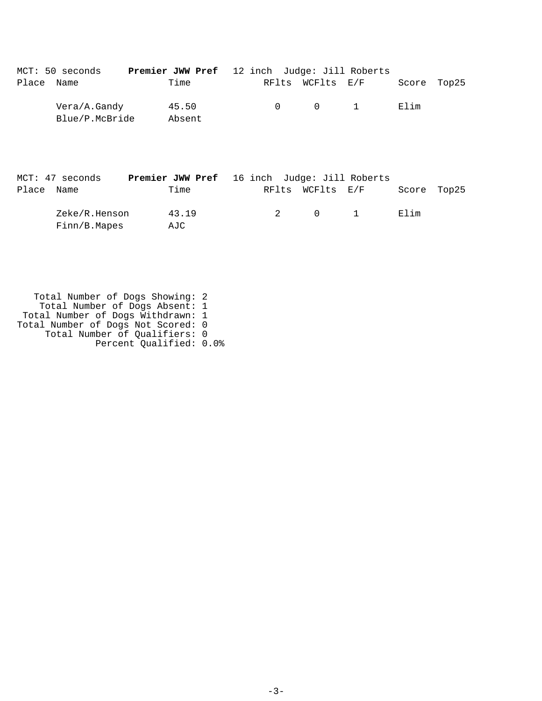|       | MCT: 50 seconds                | <b>Premier JWW Pref</b> 12 inch Judge: Jill Roberts |  |                       |             |  |
|-------|--------------------------------|-----------------------------------------------------|--|-----------------------|-------------|--|
| Place | Name                           | Time                                                |  | RFlts WCFlts E/F      | Score Top25 |  |
|       | Vera/A.Gandy<br>Blue/P.McBride | 45.50<br>Absent                                     |  | $0 \qquad 0 \qquad 1$ | Elim        |  |

|            | MCT: 47 seconds | <b>Premier JWW Pref</b> 16 inch Judge: Jill Roberts |   |                  |                                 |             |  |
|------------|-----------------|-----------------------------------------------------|---|------------------|---------------------------------|-------------|--|
| Place Name |                 | Time                                                |   | RFlts WCFlts E/F |                                 | Score Top25 |  |
|            | Zeke/R.Henson   | 43.19                                               | 2 |                  | $\begin{matrix}0&1\end{matrix}$ | Elim        |  |
|            | Finn/B.Mapes    | AJC                                                 |   |                  |                                 |             |  |

| Total Number of Dogs Showing: 2    |  |
|------------------------------------|--|
| Total Number of Dogs Absent: 1     |  |
| Total Number of Dogs Withdrawn: 1  |  |
| Total Number of Dogs Not Scored: 0 |  |
| Total Number of Qualifiers: 0      |  |
| Percent Qualified: 0.0%            |  |
|                                    |  |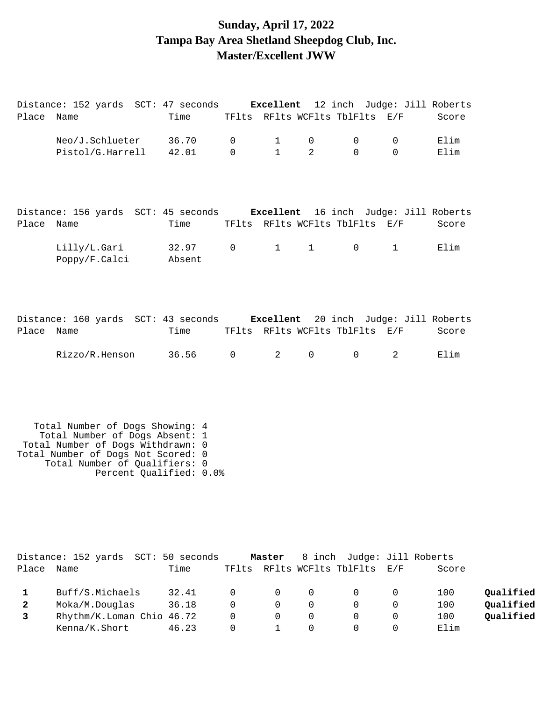### **Sunday, April 17, 2022 Tampa Bay Area Shetland Sheepdog Club, Inc. Master/Excellent JWW**

Distance: 152 yards SCT: 47 seconds **Excellent** 12 inch Judge: Jill Roberts Place Name Time TFlts RFlts WCFlts TblFlts E/F Score

|              | Neo/J.Schlueter<br>Pistol/G.Harrell                                                                                                                                                                      | 36.70<br>42.01  | $\mathsf{O}$<br>$\Omega$ | $\mathbf{1}$<br>$\mathbf{1}$ | 0<br>$\overline{2}$                  | 0<br>$\Omega$        | 0<br>$\Omega$               | Elim<br>Elim |                        |
|--------------|----------------------------------------------------------------------------------------------------------------------------------------------------------------------------------------------------------|-----------------|--------------------------|------------------------------|--------------------------------------|----------------------|-----------------------------|--------------|------------------------|
| Place Name   | Distance: 156 yards SCT: 45 seconds <b>Excellent</b> 16 inch Judge: Jill Roberts                                                                                                                         | Time            |                          |                              | TFlts RFlts WCFlts TblFlts E/F       |                      |                             | Score        |                        |
|              | Lilly/L.Gari<br>Poppy/F.Calci                                                                                                                                                                            | 32.97<br>Absent | $\mathbf 0$              | $1 \quad \blacksquare$       | $1 \quad \blacksquare$               | $\mathsf{O}$         | $\mathbf{1}$                | Elim         |                        |
| Place Name   | Distance: 160 yards SCT: 43 seconds Excellent                                                                                                                                                            | Time            |                          |                              | TFlts RFlts WCFlts TblFlts E/F       |                      | 20 inch Judge: Jill Roberts | Score        |                        |
|              | Rizzo/R.Henson                                                                                                                                                                                           | 36.56           | $\mathsf{O}$             | 2                            | $\mathsf{O}$                         | $\mathsf{O}$         | 2                           | Elim         |                        |
|              | Total Number of Dogs Showing: 4<br>Total Number of Dogs Absent: 1<br>Total Number of Dogs Withdrawn: 0<br>Total Number of Dogs Not Scored: 0<br>Total Number of Qualifiers: 0<br>Percent Qualified: 0.0% |                 |                          |                              |                                      |                      |                             |              |                        |
| Place        | Distance: 152 yards SCT: 50 seconds<br>Name                                                                                                                                                              | Time            |                          | Master                       | 8 inch<br>TFlts RFlts WCFlts TblFlts |                      | Judge: Jill Roberts<br>E/F  | Score        |                        |
| $\mathbf{1}$ | Buff/S.Michaels                                                                                                                                                                                          | 32.41           | 0                        | 0                            | 0                                    | 0                    | 0                           | 100          | Qualified              |
| 2<br>3       | Moka/M.Douglas<br>Rhythm/K.Loman Chio 46.72                                                                                                                                                              | 36.18           | 0<br>0                   | 0<br>$\Omega$                | $\mathbf 0$<br>0                     | $\Omega$<br>$\Omega$ | 0<br>0                      | 100<br>100   | Qualified<br>Qualified |
|              | Kenna/K.Short                                                                                                                                                                                            | 46.23           | 0                        | $\mathbf{1}$                 | 0                                    | 0                    | $\mathbf 0$                 | Elim         |                        |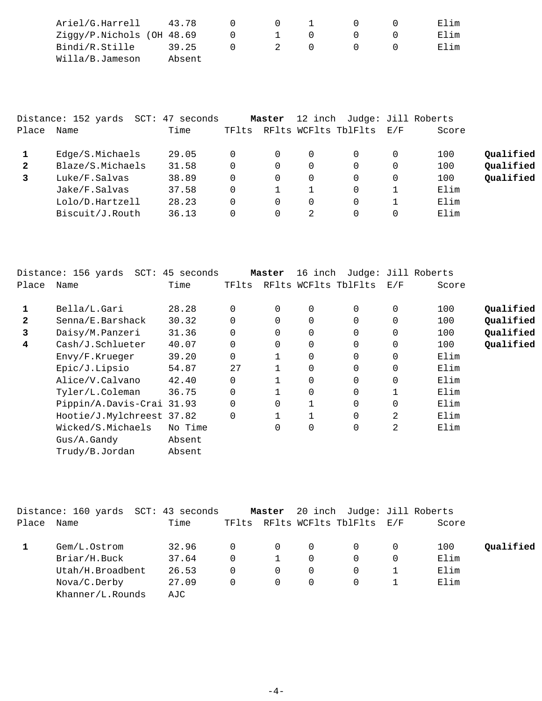| Ariel/G.Harrell            | 43.78  |        |              |  | Elim |
|----------------------------|--------|--------|--------------|--|------|
| Ziggy/P.Nichols (OH 48.69) |        | $\cup$ | $\mathbf{1}$ |  | Elim |
| Bindi/R.Stille             | 39.25  |        | 2            |  | Elim |
| Willa/B.Jameson            | Absent |        |              |  |      |

|              | Distance: 152 yards | SCT: 47 seconds |       | Master   | 12 inch |                      |     | Judge: Jill Roberts |           |
|--------------|---------------------|-----------------|-------|----------|---------|----------------------|-----|---------------------|-----------|
| Place        | Name                | Time            | TFlts |          |         | RFlts WCFlts TblFlts | E/F | Score               |           |
|              | Edge/S.Michaels     | 29.05           | 0     | $\Omega$ |         |                      |     | 100                 | Qualified |
| $\mathbf{2}$ | Blaze/S.Michaels    | 31.58           | 0     | 0        |         |                      |     | 100                 | Qualified |
| 3            | Luke/F.Salvas       | 38.89           | 0     | $\Omega$ |         |                      |     | 100                 | Qualified |
|              | Jake/F.Salvas       | 37.58           | 0     |          |         |                      |     | Elim                |           |
|              | Lolo/D.Hartzell     | 28.23           | 0     | 0        |         |                      |     | Elim                |           |
|              | Biscuit/J.Routh     | 36.13           | 0     | 0        | 2       |                      |     | Elim                |           |

|              | Distance: 156 yards       | SCT: 45 seconds |             | Master   | 16 inch |                      |          | Judge: Jill Roberts |           |
|--------------|---------------------------|-----------------|-------------|----------|---------|----------------------|----------|---------------------|-----------|
| Place        | Name                      | Time            | TFlts       |          |         | RFlts WCFlts TblFlts | E/F      | Score               |           |
|              | Bella/L.Gari              | 28.28           | $\Omega$    | $\Omega$ | 0       | 0                    | 0        | 100                 | Oualified |
| $\mathbf{2}$ | Senna/E.Barshack          | 30.32           |             | $\Omega$ | 0       | 0                    | 0        | 100                 | Qualified |
| 3            | Daisy/M.Panzeri           | 31.36           | $\Omega$    | $\Omega$ | 0       | $\Omega$             | 0        | 100                 | Qualified |
| 4            | Cash/J.Schlueter          | 40.07           | $\mathbf 0$ | 0        | 0       | 0                    | 0        | 100                 | Qualified |
|              | Envy/F.Krueger            | 39.20           | $\Omega$    |          | 0       | 0                    | 0        | Elim                |           |
|              | Epic/J.Lipsio             | 54.87           | 27          |          | 0       | 0                    | 0        | Elim                |           |
|              | Alice/V.Calvano           | 42.40           | $\Omega$    |          | 0       | $\Omega$             | $\Omega$ | Elim                |           |
|              | Tyler/L.Coleman           | 36.75           | $\Omega$    |          | 0       | $\Omega$             |          | Elim                |           |
|              | Pippin/A.Davis-Crai 31.93 |                 | $\mathbf 0$ | 0        |         | 0                    | 0        | Elim                |           |
|              | Hootie/J.Mylchreest 37.82 |                 | $\Omega$    |          |         | $\Omega$             | 2        | Elim                |           |
|              | Wicked/S.Michaels         | No Time         |             | $\Omega$ | 0       | 0                    | 2        | Elim                |           |
|              | $Gus/A$ . $Gandy$         | Absent          |             |          |         |                      |          |                     |           |
|              | Trudy/B.Jordan            | Absent          |             |          |         |                      |          |                     |           |

|       | Distance: 160 yards SCT: 43 seconds |       |          | Master   |          | 20 inch Judge: Jill Roberts |          |       |           |
|-------|-------------------------------------|-------|----------|----------|----------|-----------------------------|----------|-------|-----------|
| Place | Name                                | Time  | TFlts    |          |          | RFlts WCFlts TblFlts E/F    |          | Score |           |
|       | Gem/L.Ostrom                        | 32.96 | 0        | $\Omega$ | $\Omega$ |                             | 0        | 100   | Oualified |
|       | Briar/H.Buck                        | 37.64 | 0        |          | 0        | $\Omega$                    | $\Omega$ | Elim  |           |
|       | Utah/H.Broadbent                    | 26.53 | 0        | $\Omega$ | 0        | $\Omega$                    |          | Elim  |           |
|       | Nova/C.Derby                        | 27.09 | $\Omega$ | $\Omega$ | 0        | $\Omega$                    |          | Elim  |           |
|       | Khanner/L.Rounds                    | AJC   |          |          |          |                             |          |       |           |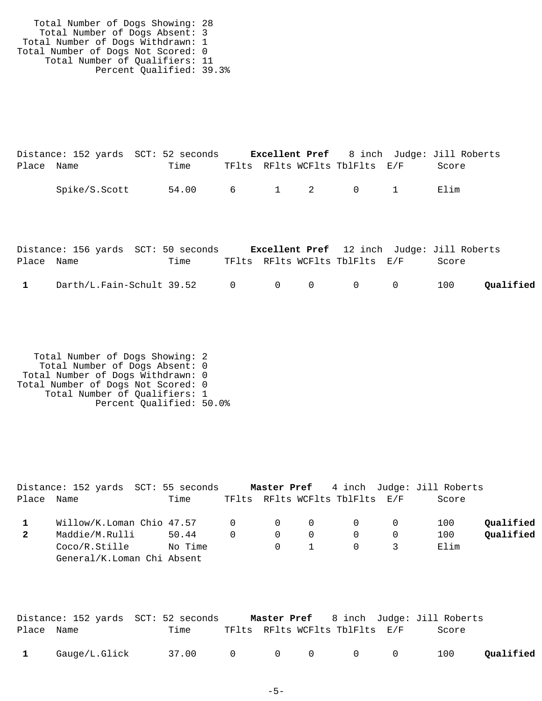|            |               | Distance: 152 yards SCT: 52 seconds |  |                                | <b>Excellent Pref</b> 8 inch Judge: Jill Roberts |
|------------|---------------|-------------------------------------|--|--------------------------------|--------------------------------------------------|
| Place Name |               | Time                                |  | TFlts RFlts WCFlts TblFlts E/F | Score –                                          |
|            | Spike/S.Scott | 54.00 6 1 2 0 1                     |  |                                | Flim                                             |

|            | Distance: 156 yards SCT: 50 seconds           |      |  |                                | <b>Excellent Pref</b> 12 inch Judge: Jill Roberts |           |
|------------|-----------------------------------------------|------|--|--------------------------------|---------------------------------------------------|-----------|
| Place Name |                                               | Time |  | TFlts RFlts WCFlts TblFlts E/F | Score                                             |           |
|            | $\text{Darth/L.Fain-Schult } 39.52$ 0 0 0 0 0 |      |  |                                | 100                                               | Qualified |

|            | Distance: 152 yards  SCT: 55 seconds                                                   |         |                   |                |             |                                |           | <b>Master Pref</b> 4 inch Judge: Jill Roberts |           |
|------------|----------------------------------------------------------------------------------------|---------|-------------------|----------------|-------------|--------------------------------|-----------|-----------------------------------------------|-----------|
| Place Name |                                                                                        | Time    |                   |                |             | TFlts RFlts WCFlts TblFlts E/F |           | Score                                         |           |
|            | $\texttt{Willow/K.Loman}$ Chio 47.57 $\qquad \qquad 0 \qquad \qquad 0 \qquad \qquad 0$ |         |                   |                |             |                                | $\bigcap$ | 100                                           | Qualified |
| 2          | Maddie/M.Rulli                                                                         | 50.44   | $0 \qquad \qquad$ | $\overline{0}$ | - 0         | $\cap$                         |           | 100                                           | Oualified |
|            | Coco/R.Stille                                                                          | No Time |                   |                | $0\qquad 1$ | $\cap$                         |           | Elim                                          |           |
|            | General/K.Loman Chi Absent                                                             |         |                   |                |             |                                |           |                                               |           |

|              |               | Distance: 152 yards  SCT: 52 seconds |  |                                | <b>Master Pref</b> 8 inch Judge: Jill Roberts |           |
|--------------|---------------|--------------------------------------|--|--------------------------------|-----------------------------------------------|-----------|
| Place Name   |               | Time                                 |  | TFlts RFlts WCFlts TblFlts E/F | Score                                         |           |
| $\mathbf{1}$ | Gauge/L.Glick | 37.00 0 0 0 0 0                      |  |                                | 100                                           | Qualified |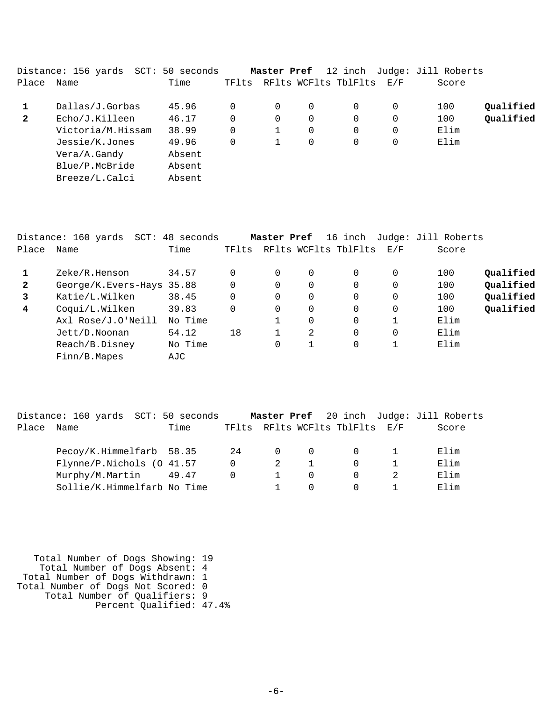|              | Distance: 156 yards<br>$SCT$ : | 50 seconds |          | Master Pref |          | 12 inch              |     | Judge: Jill Roberts |           |
|--------------|--------------------------------|------------|----------|-------------|----------|----------------------|-----|---------------------|-----------|
| Place        | Name                           | Time       | TFlts    |             |          | RFlts WCFlts TblFlts | E/F | Score               |           |
|              | Dallas/J.Gorbas                | 45.96      | $\Omega$ | 0           | $\Omega$ | $\Omega$             | 0   | 100                 | Oualified |
| $\mathbf{2}$ | Echo/J.Killeen                 | 46.17      | $\Omega$ | 0           | $\Omega$ | $\Omega$             | 0   | 100                 | Qualified |
|              | Victoria/M.Hissam              | 38.99      | $\Omega$ |             | $\Omega$ | $\Omega$             | 0   | Elim                |           |
|              | Jessie/K.Jones                 | 49.96      | $\Omega$ |             | $\Omega$ | $\Omega$             | 0   | Elim                |           |
|              | Vera/A.Gandy                   | Absent     |          |             |          |                      |     |                     |           |
|              | Blue/P.McBride                 | Absent     |          |             |          |                      |     |                     |           |
|              | Breeze/L.Calci                 | Absent     |          |             |          |                      |     |                     |           |
|              |                                |            |          |             |          |                      |     |                     |           |

|              | Distance: 160 yards SCT: 48 seconds |         |       | Master Pref |          | 16 inch              |          | Judge: Jill Roberts |           |
|--------------|-------------------------------------|---------|-------|-------------|----------|----------------------|----------|---------------------|-----------|
| Place        | Name                                | Time    | TFlts |             |          | RFlts WCFlts TblFlts | E/F      | Score               |           |
|              | Zeke/R.Henson                       | 34.57   |       | 0           | $\Omega$ | 0                    | 0        | 100                 | Qualified |
| $\mathbf{2}$ | George/K.Evers-Hays 35.88           |         | 0     | 0           | $\Omega$ | $\Omega$             | $\Omega$ | 100                 | Qualified |
| 3            | Katie/L.Wilken                      | 38.45   | 0     | 0           | $\Omega$ | 0                    | $\Omega$ | 100                 | Qualified |
| 4            | Coqui/L.Wilken                      | 39.83   | 0     | 0           | $\Omega$ | $\Omega$             | $\Omega$ | 100                 | Qualified |
|              | Axl Rose/J.O'Neill                  | No Time |       |             | $\Omega$ | $\Omega$             |          | Elim                |           |
|              | Jett/D.Noonan                       | 54.12   | 18    |             | 2        | $\Omega$             | $\Omega$ | Elim                |           |
|              | Reach/B.Disney                      | No Time |       | 0           | 1        | 0                    | 1        | Elim                |           |
|              | Finn/B.Mapes                        | AJC     |       |             |          |                      |          |                     |           |

|       | Distance: 160 yards SCT: 50 seconds |      |          |          |                |                                | Master Pref 20 inch Judge: Jill Roberts |
|-------|-------------------------------------|------|----------|----------|----------------|--------------------------------|-----------------------------------------|
| Place | Name                                | Time |          |          |                | TFlts RFlts WCFlts TblFlts E/F | Score                                   |
|       | Pecoy/K.Himmelfarb 58.35            |      | 24       | $\Omega$ | $\overline{0}$ |                                | Elim                                    |
|       | Flynne/P.Nichols (0 41.57           |      | $\Omega$ | 2        |                |                                | Elim                                    |
|       | Murphy/M.Martin 49.47               |      |          |          | $\Omega$       |                                | Elim                                    |
|       | Sollie/K.Himmelfarb No Time         |      |          |          | $\Omega$       |                                | Elim                                    |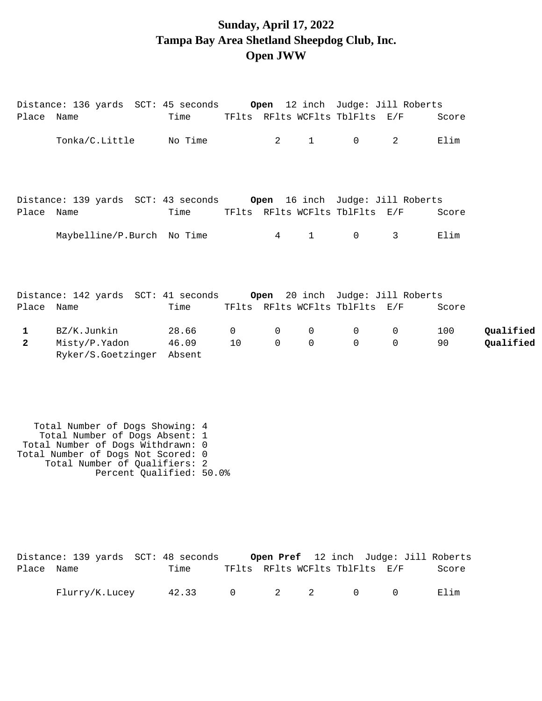## **Sunday, April 17, 2022 Tampa Bay Area Shetland Sheepdog Club, Inc. Open JWW**

| Place Name   | Distance: 136 yards SCT: 45 seconds     Open 12 inch Judge: Jill Roberts   | Time            |          |             |              |                                | TFlts RFlts WCFlts TblFlts E/F | Score |           |
|--------------|----------------------------------------------------------------------------|-----------------|----------|-------------|--------------|--------------------------------|--------------------------------|-------|-----------|
|              | Tonka/C.Little No Time                                                     |                 |          | 2           | $\mathbf{1}$ | $\Omega$                       | 2                              | Elim  |           |
|              |                                                                            |                 |          |             |              |                                |                                |       |           |
|              | Distance: 139 yards SCT: 43 seconds     Open  16 inch  Judge: Jill Roberts |                 |          |             |              |                                |                                |       |           |
| Place Name   |                                                                            | Time            |          |             |              | TFlts RFlts WCFlts TblFlts E/F |                                | Score |           |
|              | Maybelline/P.Burch No Time                                                 |                 |          | $4\degree$  | $\mathbf{1}$ | $\overline{0}$                 | 3                              | Elim  |           |
|              |                                                                            |                 |          |             |              |                                |                                |       |           |
|              |                                                                            |                 |          |             |              |                                |                                |       |           |
| Place Name   |                                                                            | Time            |          |             |              | TFlts RFlts WCFlts TblFlts E/F |                                | Score |           |
| $\mathbf{1}$ | BZ/K.Junkin                                                                | 28.66           | $\Omega$ | $\mathbf 0$ | $\mathbf 0$  | $\overline{0}$                 | $\mathbf 0$                    | 100   | Qualified |
| $\mathbf{2}$ | Misty/P.Yadon<br>Ryker/S.Goetzinger                                        | 46.09<br>Absent | 10       | $\Omega$    | $\Omega$     | $\Omega$                       | $\Omega$                       | 90    | Qualified |

|            | Distance: 139 yards SCT: 48 seconds |                 |                                |  | Open Pref 12 inch Judge: Jill Roberts |       |
|------------|-------------------------------------|-----------------|--------------------------------|--|---------------------------------------|-------|
| Place Name |                                     | Time            | TFlts RFlts WCFlts TblFlts E/F |  |                                       | Score |
|            | Flurry/K.Lucey                      | 42.33 0 2 2 0 0 |                                |  |                                       | Elim  |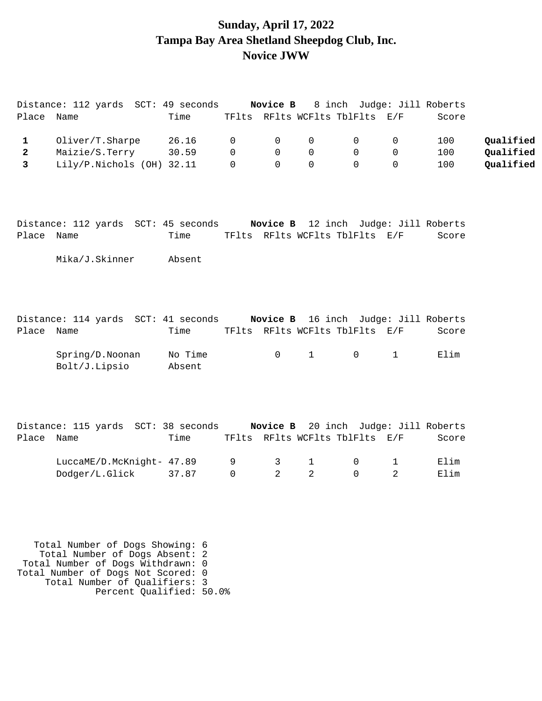### **Sunday, April 17, 2022 Tampa Bay Area Shetland Sheepdog Club, Inc. Novice JWW**

| Oliver/T.Sharpe<br>Maizie/S.Terry<br>Lily/P.Nichols (OH) 32.11 | Time<br>26.16<br>30.59                                                | 0<br>$\Omega$<br>$\Omega$                  | $\mathbf 0$<br>$\mathbf 0$<br>$\Omega$                                                                                             | TFlts RFlts WCFlts TblFlts E/F<br>$\mathsf 0$<br>$\mathbf 0$ | $\mathsf 0$<br>0               | $\mathbf 0$<br>0 | Score<br>100<br>100                                                                                                                 | Qualified                                                                                                                                     |
|----------------------------------------------------------------|-----------------------------------------------------------------------|--------------------------------------------|------------------------------------------------------------------------------------------------------------------------------------|--------------------------------------------------------------|--------------------------------|------------------|-------------------------------------------------------------------------------------------------------------------------------------|-----------------------------------------------------------------------------------------------------------------------------------------------|
|                                                                |                                                                       |                                            |                                                                                                                                    |                                                              |                                |                  |                                                                                                                                     |                                                                                                                                               |
|                                                                |                                                                       |                                            |                                                                                                                                    |                                                              |                                |                  |                                                                                                                                     |                                                                                                                                               |
|                                                                |                                                                       |                                            |                                                                                                                                    | $\Omega$                                                     | $\Omega$                       | $\Omega$         | 100                                                                                                                                 | Qualified<br>Qualified                                                                                                                        |
|                                                                |                                                                       |                                            |                                                                                                                                    |                                                              |                                |                  |                                                                                                                                     |                                                                                                                                               |
|                                                                | Time                                                                  |                                            |                                                                                                                                    |                                                              |                                |                  | Score                                                                                                                               |                                                                                                                                               |
|                                                                | Absent                                                                |                                            |                                                                                                                                    |                                                              |                                |                  |                                                                                                                                     |                                                                                                                                               |
|                                                                | Time                                                                  |                                            |                                                                                                                                    |                                                              |                                |                  | Score                                                                                                                               |                                                                                                                                               |
|                                                                | No Time<br>Absent                                                     |                                            | 0                                                                                                                                  | $\mathbf{1}$                                                 | 0                              | $\mathbf{1}$     | Elim                                                                                                                                |                                                                                                                                               |
|                                                                |                                                                       |                                            |                                                                                                                                    |                                                              |                                |                  |                                                                                                                                     |                                                                                                                                               |
|                                                                |                                                                       |                                            |                                                                                                                                    |                                                              |                                |                  |                                                                                                                                     |                                                                                                                                               |
|                                                                |                                                                       |                                            |                                                                                                                                    |                                                              |                                |                  |                                                                                                                                     |                                                                                                                                               |
|                                                                | Mika/J.Skinner<br>Spring/D. Noonan<br>Bolt/J.Lipsio<br>Dodger/L.Glick | Time<br>LuccaME/D.McKnight- 47.89<br>37.87 | Distance: 112 yards SCT: 45 seconds<br>Distance: 114 yards SCT: 41 seconds<br>Distance: 115 yards SCT: 38 seconds<br>9<br>$\Omega$ | $\mathsf{3}$<br>$\overline{a}$                               | $\mathbf{1}$<br>$\overline{2}$ | 0<br>$\Omega$    | TFlts RFlts WCFlts TblFlts E/F<br>TFlts RFlts WCFlts TblFlts E/F<br>TFlts RFlts WCFlts TblFlts E/F<br>$\mathbf 1$<br>$\overline{2}$ | Novice B 12 inch Judge: Jill Roberts<br>Novice B 16 inch Judge: Jill Roberts<br>Novice B 20 inch Judge: Jill Roberts<br>Score<br>Elim<br>Elim |

 Total Number of Qualifiers: 3 Percent Qualified: 50.0%

 Total Number of Dogs Withdrawn: 0 Total Number of Dogs Not Scored: 0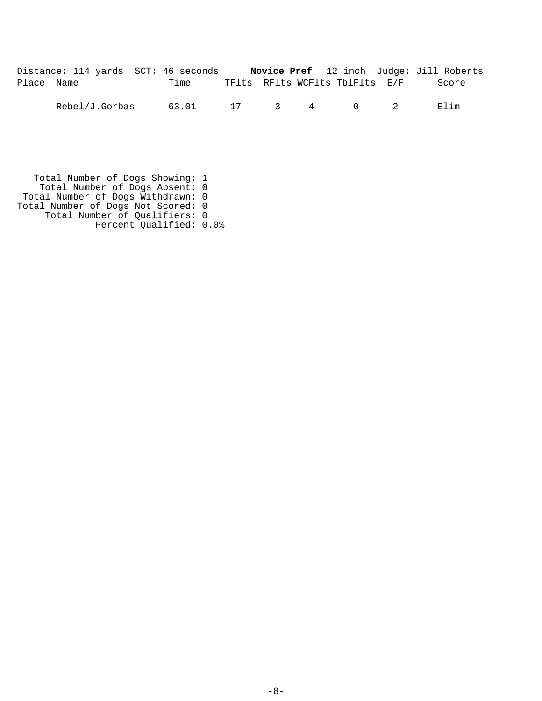|            | Distance: 114 yards SCT: 46 seconds |          |  |                                | Novice Pref 12 inch Judge: Jill Roberts |
|------------|-------------------------------------|----------|--|--------------------------------|-----------------------------------------|
| Place Name |                                     | Time     |  | TFlts RFlts WCFlts TblFlts E/F | Score                                   |
|            | Rebel/J.Gorbas                      | 63.01 17 |  | 3 4 0 2                        | Elim                                    |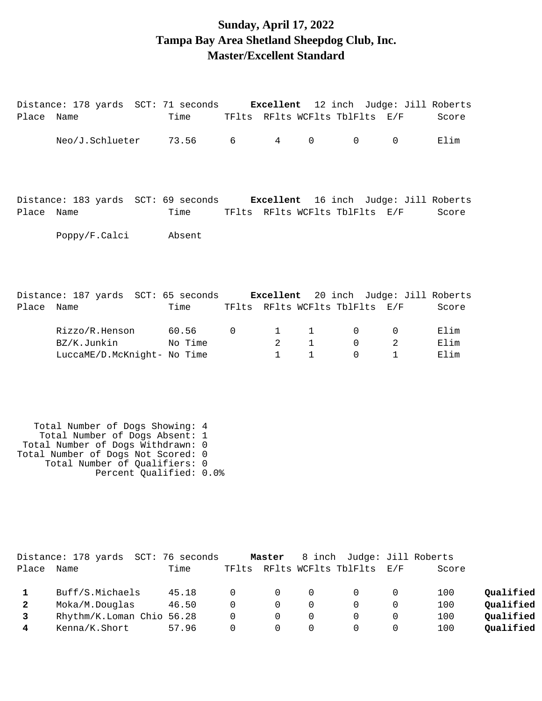## **Sunday, April 17, 2022 Tampa Bay Area Shetland Sheepdog Club, Inc. Master/Excellent Standard**

| Place Name | Distance: 178 yards SCT: 71 seconds <b>Excellent</b> 12 inch Judge: Jill Roberts | Time    |             |                |              |                                | TFlts RFlts WCFlts TblFlts E/F | Score |
|------------|----------------------------------------------------------------------------------|---------|-------------|----------------|--------------|--------------------------------|--------------------------------|-------|
|            | Neo/J.Schlueter 73.56 6                                                          |         |             | $4\degree$     | $\mathbf 0$  | $\mathbf 0$                    | $\Omega$                       | Elim  |
|            |                                                                                  |         |             |                |              |                                |                                |       |
|            | Distance: 183 yards SCT: 69 seconds <b>Excellent</b> 16 inch Judge: Jill Roberts |         |             |                |              |                                |                                |       |
| Place      | Name                                                                             | Time    |             |                |              | TFlts RFlts WCFlts TblFlts E/F |                                | Score |
|            | Poppy/F.Calci                                                                    | Absent  |             |                |              |                                |                                |       |
|            |                                                                                  |         |             |                |              |                                |                                |       |
|            |                                                                                  |         |             |                |              |                                |                                |       |
|            | Distance: 187 yards SCT: 65 seconds <b>Excellent</b> 20 inch Judge: Jill Roberts |         |             |                |              |                                |                                |       |
| Place      | Name                                                                             | Time    |             |                |              | TFlts RFlts WCFlts TblFlts E/F |                                | Score |
|            | Rizzo/R.Henson                                                                   | 60.56   | $\mathbf 0$ | $\mathbf{1}$   | 1            | $\mathbf 0$                    | $\mathbf 0$                    | Elim  |
|            | BZ/K.Junkin                                                                      | No Time |             | $\overline{2}$ | $\mathbf 1$  | $\Omega$                       | 2                              | Elim  |
|            | LuccaME/D.McKnight- No Time                                                      |         |             | $\mathbf{1}$   | $\mathbf{1}$ | $\Omega$                       | $\mathbf{1}$                   | Elim  |
|            |                                                                                  |         |             |                |              |                                |                                |       |
|            |                                                                                  |         |             |                |              |                                |                                |       |
|            |                                                                                  |         |             |                |              |                                |                                |       |

|              | Distance: 178 yards SCT: 76 seconds |       |          | Master   |          | 8 inch Judge: Jill Roberts     |       |           |
|--------------|-------------------------------------|-------|----------|----------|----------|--------------------------------|-------|-----------|
| Place        | Name                                | Time  |          |          |          | TFlts RFlts WCFlts TblFlts E/F | Score |           |
|              | Buff/S.Michaels                     | 45.18 | $\Omega$ | $\Omega$ | 0        | - 0                            | 100   | Oualified |
| $\mathbf{2}$ | Moka/M.Douglas                      | 46.50 | $\Omega$ | $\Omega$ | $\Omega$ | $\Omega$                       | 100   | Qualified |
|              | Rhythm/K.Loman Chio 56.28           |       | $\Omega$ | $\Omega$ |          |                                | 100   | Qualified |
| 4            | Kenna/K.Short                       | 57.96 | $\Omega$ |          |          |                                | 100   | Qualified |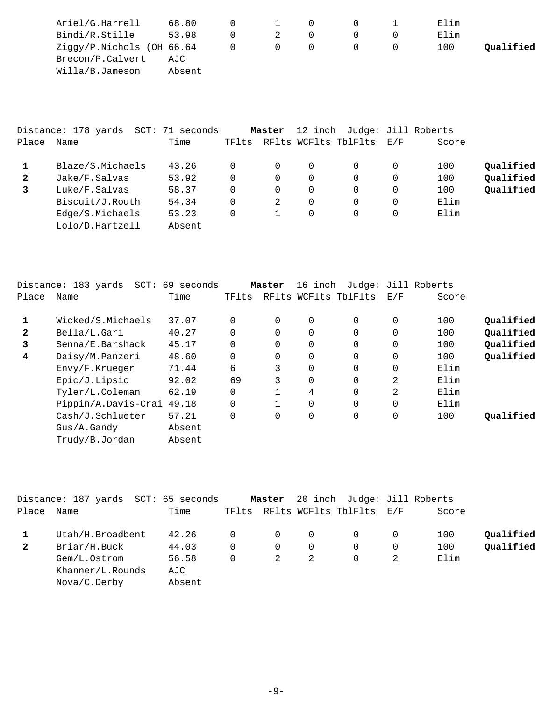| Ariel/G.Harrell              | 68.80  | $\perp$ |  | Elim |           |
|------------------------------|--------|---------|--|------|-----------|
| Bindi/R.Stille               | 53.98  |         |  | Elim |           |
| $Ziqqy/P.Nichols$ (OH 66.64) |        | $\cup$  |  | 100  | Qualified |
| Brecon/P.Calvert             | AJC    |         |  |      |           |
| Willa/B.Jameson              | Absent |         |  |      |           |

|              | Distance: 178 yards | SCT: 71 seconds |       | Master   |          | 12 inch Judge: Jill Roberts |          |       |           |
|--------------|---------------------|-----------------|-------|----------|----------|-----------------------------|----------|-------|-----------|
| Place        | Name                | Time            | TFlts |          |          | RFlts WCFlts TblFlts        | E/F      | Score |           |
|              | Blaze/S.Michaels    | 43.26           | 0     | $\Omega$ | $\Omega$ |                             |          | 100   | Qualified |
| $\mathbf{2}$ | Jake/F.Salvas       | 53.92           | 0     | $\Omega$ | $\Omega$ |                             | 0        | 100   | Qualified |
| 3            | Luke/F.Salvas       | 58.37           | 0     | $\Omega$ | $\Omega$ |                             | 0        | 100   | Qualified |
|              | Biscuit/J.Routh     | 54.34           | 0     | 2        | $\Omega$ |                             | $\Omega$ | Elim  |           |
|              | Edge/S.Michaels     | 53.23           | 0     |          | $\Omega$ | $\Omega$                    | 0        | Elim  |           |
|              | Lolo/D.Hartzell     | Absent          |       |          |          |                             |          |       |           |

|              | Distance: 183 yards<br>SCT: | 69 seconds |          | Master   | 16 inch              |          |             | Judge: Jill Roberts |           |
|--------------|-----------------------------|------------|----------|----------|----------------------|----------|-------------|---------------------|-----------|
| Place        | Name                        | Time       | TFlts    |          | RFlts WCFlts TblFlts |          | E/F         | Score               |           |
| 1            | Wicked/S.Michaels           | 37.07      | $\Omega$ | $\Omega$ | 0                    | $\Omega$ | 0           | 100                 | Qualified |
| $\mathbf{2}$ | Bella/L.Gari                | 40.27      | $\Omega$ |          | 0                    | $\Omega$ | 0           | 100                 | Qualified |
| 3            | Senna/E.Barshack            | 45.17      | $\Omega$ |          | 0                    | $\Omega$ | $\mathbf 0$ | 100                 | Qualified |
| 4            | Daisy/M.Panzeri             | 48.60      | $\Omega$ | $\Omega$ | 0                    | $\Omega$ | 0           | 100                 | Qualified |
|              | Envy/F.Krueger              | 71.44      | 6        | 3        | 0                    | $\Omega$ | 0           | Elim                |           |
|              | Epic/J.Lipsio               | 92.02      | 69       | 3        | 0                    | 0        | 2           | Elim                |           |
|              | Tyler/L.Coleman             | 62.19      | $\Omega$ |          | 4                    | $\Omega$ | 2           | Elim                |           |
|              | Pippin/A.Davis-Crai         | 49.18      | $\Omega$ |          | 0                    | $\Omega$ | $\Omega$    | Elim                |           |
|              | Cash/J.Schlueter            | 57.21      | $\Omega$ |          | 0                    | 0        | $\mathbf 0$ | 100                 | Oualified |
|              | $Gus/A$ . Gandy             | Absent     |          |          |                      |          |             |                     |           |
|              | Trudy/B.Jordan              | Absent     |          |          |                      |          |             |                     |           |

|              | Distance: 187 yards SCT: 65 seconds |        |       | Master   |          | 20 inch Judge: Jill Roberts |   |       |           |
|--------------|-------------------------------------|--------|-------|----------|----------|-----------------------------|---|-------|-----------|
| Place        | Name                                | Time   | TFlts |          |          | RFlts WCFlts TblFlts E/F    |   | Score |           |
|              | Utah/H.Broadbent                    | 42.26  |       | $\Omega$ | $\Omega$ |                             |   | 100   | Qualified |
| $\mathbf{2}$ | Briar/H.Buck                        | 44.03  |       | $\Omega$ | $\Omega$ |                             | 0 | 100   | Qualified |
|              | Gem/L.Ostrom                        | 56.58  |       | 2        | 2        |                             |   | Elim  |           |
|              | Khanner/L.Rounds                    | AJC    |       |          |          |                             |   |       |           |
|              | Nova/C.Derby                        | Absent |       |          |          |                             |   |       |           |
|              |                                     |        |       |          |          |                             |   |       |           |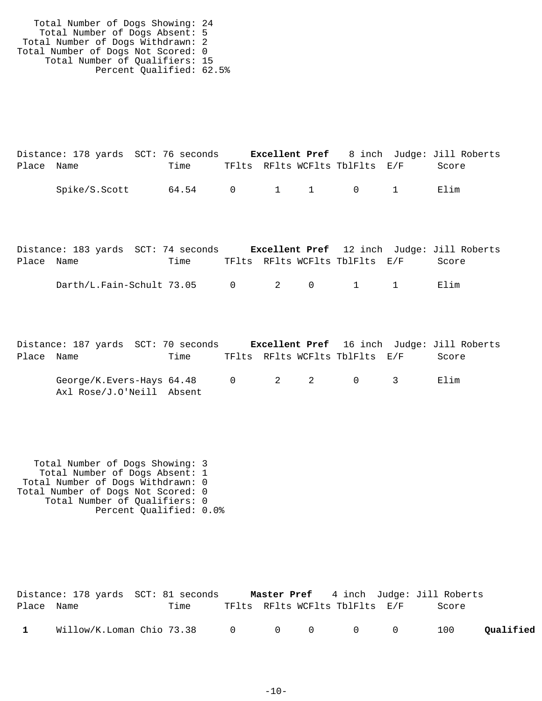|            | Distance: 178 yards SCT: 76 seconds |      |  |                                | <b>Excellent Pref</b> 8 inch Judge: Jill Roberts |  |
|------------|-------------------------------------|------|--|--------------------------------|--------------------------------------------------|--|
| Place Name |                                     | Time |  | TFlts RFlts WCFlts TblFlts E/F | Score                                            |  |
|            | Spike/S.Scott                       |      |  | 64.54 0 1 1 0 1                | Elim                                             |  |

|            | Distance: 183 yards SCT: 74 seconds <b>Excellent Pref</b> 12 inch Judge: Jill Roberts |      |  |                                |       |  |
|------------|---------------------------------------------------------------------------------------|------|--|--------------------------------|-------|--|
| Place Name |                                                                                       | Time |  | TFlts RFlts WCFlts TblFlts E/F | Score |  |
|            | Darth/L.Fain-Schult 73.05 0 2 0 1 1                                                   |      |  |                                | Flim  |  |

|            | Distance: 187 yards SCT: 70 seconds |      |  |                                            | <b>Excellent Pref</b> 16 inch Judge: Jill Roberts |  |
|------------|-------------------------------------|------|--|--------------------------------------------|---------------------------------------------------|--|
| Place Name |                                     | Time |  | TFlts RFlts WCFlts TblFlts E/F             | Score                                             |  |
|            | George/K.Evers-Hays $64.48$ 0 $2$ 2 |      |  | $\begin{array}{ccc} & & & & 3 \end{array}$ | Elim                                              |  |
|            | Axl Rose/J.O'Neill Absent           |      |  |                                            |                                                   |  |

|            | Distance: 178 yards SCT: 81 seconds     |      |  |                                | <b>Master Pref</b> 4 inch Judge: Jill Roberts |           |
|------------|-----------------------------------------|------|--|--------------------------------|-----------------------------------------------|-----------|
| Place Name |                                         | Time |  | TFlts RFlts WCFlts TblFlts E/F | Score                                         |           |
|            | Willow/K.Loman Chio 73.38 0 0 0 0 0 0 0 |      |  |                                | 100                                           | Qualified |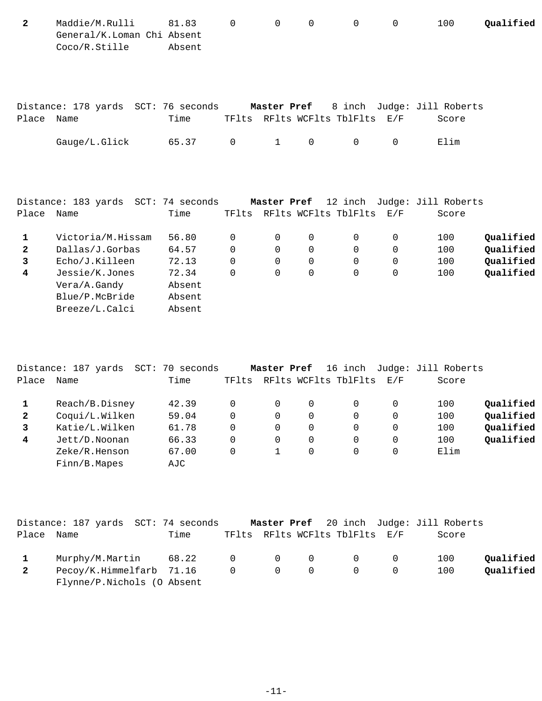Maddie/M.Rulli 81.83 0 0 0 0 0 100 **2 Qualified** General/K.Loman Chi Absent Coco/R.Stille Absent

|            | Distance: 178 yards SCT: 76 seconds |       |  |                                         | <b>Master Pref</b> 8 inch Judge: Jill Roberts |
|------------|-------------------------------------|-------|--|-----------------------------------------|-----------------------------------------------|
| Place Name |                                     | Time  |  | TFlts RFlts WCFlts TblFlts E/F          | Score                                         |
|            | Gauge/L.Glick                       | 65.37 |  | $0 \qquad 1 \qquad 0 \qquad 0 \qquad 0$ | Elim                                          |

|              | Distance: 183 yards SCT: 74 seconds |        |       | Master Pref |             | 12 inch              |     | Judge: Jill Roberts |           |
|--------------|-------------------------------------|--------|-------|-------------|-------------|----------------------|-----|---------------------|-----------|
| Place        | Name                                | Time   | TFlts |             |             | RFlts WCFlts TblFlts | E/F | Score               |           |
|              | Victoria/M.Hissam                   | 56.80  | 0     | $\Omega$    | 0           | $\Omega$             | 0   | 100                 | Qualified |
| $\mathbf{2}$ | Dallas/J.Gorbas                     | 64.57  | 0     | $\Omega$    | $\mathbf 0$ | 0                    | 0   | 100                 | Qualified |
| 3            | Echo/J.Killeen                      | 72.13  | 0     | $\Omega$    | 0           | 0                    | 0   | 100                 | Oualified |
| 4            | Jessie/K.Jones                      | 72.34  | 0     | $\Omega$    | 0           | 0                    | 0   | 100                 | Qualified |
|              | Vera/A.Gandy                        | Absent |       |             |             |                      |     |                     |           |
|              | Blue/P.McBride                      | Absent |       |             |             |                      |     |                     |           |
|              | Breeze/L.Calci                      | Absent |       |             |             |                      |     |                     |           |
|              |                                     |        |       |             |             |                      |     |                     |           |

|                | Distance: 187 yards<br>$SCT$ : | 70<br>seconds |       | Master Pref |          | 16 inch              |     | Judge: Jill Roberts |           |
|----------------|--------------------------------|---------------|-------|-------------|----------|----------------------|-----|---------------------|-----------|
| Place          | Name                           | Time          | TFlts |             |          | RFlts WCFlts TblFlts | E/F | Score               |           |
|                | Reach/B.Disney                 | 42.39         |       |             | 0        | 0                    |     | 100                 | Qualified |
| $\mathbf{2}$   | Coqui/L.Wilken                 | 59.04         |       | 0           | 0        | 0                    | 0   | 100                 | Qualified |
| 3              | Katie/L.Wilken                 | 61.78         |       | 0           | 0        | 0                    | 0   | 100                 | Qualified |
| $\overline{4}$ | Jett/D.Noonan                  | 66.33         | 0     | 0           | $\Omega$ | 0                    | 0   | 100                 | Qualified |
|                | Zeke/R.Henson                  | 67.00         |       |             | $\Omega$ |                      |     | Elim                |           |
|                | Finn/B.Mapes                   | AJC           |       |             |          |                      |     |                     |           |

|              | Distance: 187 yards SCT: 74 seconds |      |  |                                   |                                                                                    |   | <b>Master Pref</b> 20 inch Judge: Jill Roberts |           |
|--------------|-------------------------------------|------|--|-----------------------------------|------------------------------------------------------------------------------------|---|------------------------------------------------|-----------|
| Place Name   |                                     | Time |  |                                   | TFlts RFlts WCFlts TblFlts E/F                                                     |   | Score                                          |           |
| $\mathbf{1}$ | Murphy/M.Martin 68.22               |      |  |                                   | $\begin{array}{ccccccccccccccccc} & & & & & 0 & & & 0 & & & 0 & & & 0 \end{array}$ |   | 100                                            | Oualified |
| $\mathbf{2}$ | Pecoy/K.Himmelfarb 71.16            |      |  | $\begin{matrix}0&0&0\end{matrix}$ | $\overline{0}$                                                                     | 0 | 100                                            | Qualified |
|              | Flynne/P.Nichols (O Absent          |      |  |                                   |                                                                                    |   |                                                |           |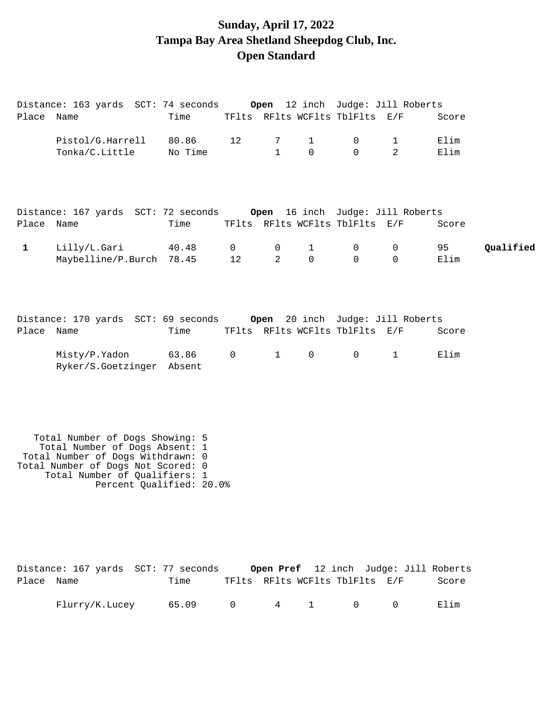# **Sunday, April 17, 2022 Tampa Bay Area Shetland Sheepdog Club, Inc. Open Standard**

|              | Distance: 163 yards SCT: 74 seconds                                  |                  |              |                   |                          |                                | <b>Open</b> 12 inch Judge: Jill Roberts |              |           |
|--------------|----------------------------------------------------------------------|------------------|--------------|-------------------|--------------------------|--------------------------------|-----------------------------------------|--------------|-----------|
| Place Name   |                                                                      | Time             |              |                   |                          | TFlts RFlts WCFlts TblFlts E/F |                                         | Score        |           |
|              | Pistol/G.Harrell<br>Tonka/C.Little                                   | 80.86<br>No Time | 12           | 7<br>$\mathbf{1}$ | $\mathbf{1}$<br>$\Omega$ | 0<br>$\Omega$                  | 1<br>$\overline{2}$                     | Elim<br>Elim |           |
|              |                                                                      |                  |              |                   |                          |                                |                                         |              |           |
|              | Distance: 167 yards SCT: 72 seconds Open 16 inch Judge: Jill Roberts |                  |              |                   |                          |                                |                                         |              |           |
| Place Name   |                                                                      | Time             |              |                   |                          | TFlts RFlts WCFlts TblFlts E/F |                                         | Score        |           |
| $\mathbf{1}$ | Lilly/L.Gari                                                         | 40.48            | $\mathsf{O}$ | 0                 | $\mathbf{1}$             | 0                              | 0                                       | 95           | Qualified |
|              | Maybelline/P.Burch                                                   | 78.45            | 12           | 2                 | $\Omega$                 | $\Omega$                       | $\Omega$                                | Elim         |           |
|              |                                                                      |                  |              |                   |                          |                                |                                         |              |           |
| Place Name   | Distance: 170 yards SCT: 69 seconds Open 20 inch Judge: Jill Roberts | Time             |              |                   |                          | TFlts RFlts WCFlts TblFlts E/F |                                         | Score        |           |
|              |                                                                      |                  |              |                   |                          |                                |                                         |              |           |
|              | Misty/P.Yadon<br>Ryker/S.Goetzinger Absent                           | 63.86            | $\mathsf{O}$ | $\mathbf{1}$      | 0                        | 0                              | $\mathbf 1$                             | Elim         |           |
|              |                                                                      |                  |              |                   |                          |                                |                                         |              |           |
|              |                                                                      |                  |              |                   |                          |                                |                                         |              |           |
|              |                                                                      |                  |              |                   |                          |                                |                                         |              |           |
|              | Total Number of Dogs Showing: 5                                      |                  |              |                   |                          |                                |                                         |              |           |
|              | Total Number of Dogs Absent: 1<br>Total Number of Dogs Withdrawn: 0  |                  |              |                   |                          |                                |                                         |              |           |
|              | Total Number of Dogs Not Scored: 0<br>Total Number of Qualifiers: 1  |                  |              |                   |                          |                                |                                         |              |           |
|              | Percent Qualified: 20.0%                                             |                  |              |                   |                          |                                |                                         |              |           |
|              |                                                                      |                  |              |                   |                          |                                |                                         |              |           |
|              |                                                                      |                  |              |                   |                          |                                |                                         |              |           |
|              |                                                                      |                  |              |                   |                          |                                |                                         |              |           |
|              | Distance: 167 yards SCT: 77 seconds                                  |                  |              |                   |                          |                                | Open Pref 12 inch Judge: Jill Roberts   |              |           |
| Place Name   |                                                                      | Time             |              |                   |                          | TFlts RFlts WCFlts TblFlts E/F |                                         | Score        |           |

| Flurry/K.Lucey | .09 |  |  |  |  |  | ≼⊥ım |
|----------------|-----|--|--|--|--|--|------|
|----------------|-----|--|--|--|--|--|------|